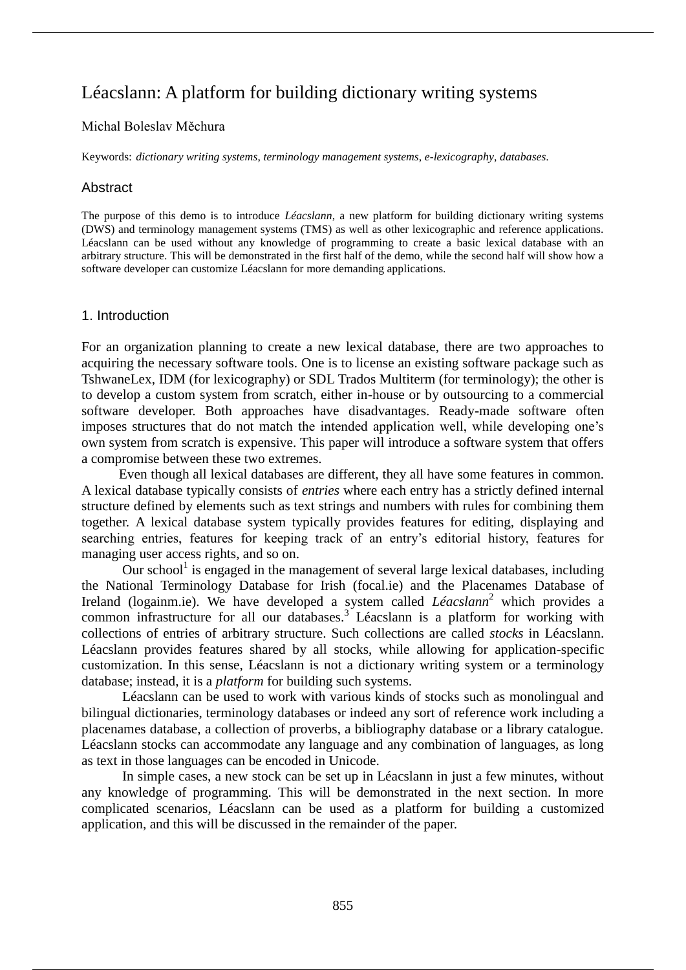# Léacslann: A platform for building dictionary writing systems

### Michal Boleslav Měchura

Keywords: *dictionary writing systems*, *terminology management systems*, *e-lexicography*, *databases*.

### **Abstract**

The purpose of this demo is to introduce *Léacslann*, a new platform for building dictionary writing systems (DWS) and terminology management systems (TMS) as well as other lexicographic and reference applications. Léacslann can be used without any knowledge of programming to create a basic lexical database with an arbitrary structure. This will be demonstrated in the first half of the demo, while the second half will show how a software developer can customize Léacslann for more demanding applications.

### 1. Introduction

For an organization planning to create a new lexical database, there are two approaches to acquiring the necessary software tools. One is to license an existing software package such as TshwaneLex, IDM (for lexicography) or SDL Trados Multiterm (for terminology); the other is to develop a custom system from scratch, either in-house or by outsourcing to a commercial software developer. Both approaches have disadvantages. Ready-made software often imposes structures that do not match the intended application well, while developing one's own system from scratch is expensive. This paper will introduce a software system that offers a compromise between these two extremes.

Even though all lexical databases are different, they all have some features in common. A lexical database typically consists of *entries* where each entry has a strictly defined internal structure defined by elements such as text strings and numbers with rules for combining them together. A lexical database system typically provides features for editing, displaying and searching entries, features for keeping track of an entry's editorial history, features for managing user access rights, and so on.

Our school<sup>1</sup> is engaged in the management of several large lexical databases, including the National Terminology Database for Irish (focal.ie) and the Placenames Database of Ireland (logainm.ie). We have developed a system called *Léacslann*<sup>2</sup> which provides a common infrastructure for all our databases.<sup>3</sup> Léacslann is a platform for working with collections of entries of arbitrary structure. Such collections are called *stocks* in Léacslann. Léacslann provides features shared by all stocks, while allowing for application-specific customization. In this sense, Léacslann is not a dictionary writing system or a terminology database; instead, it is a *platform* for building such systems.

Léacslann can be used to work with various kinds of stocks such as monolingual and bilingual dictionaries, terminology databases or indeed any sort of reference work including a placenames database, a collection of proverbs, a bibliography database or a library catalogue. Léacslann stocks can accommodate any language and any combination of languages, as long as text in those languages can be encoded in Unicode.

In simple cases, a new stock can be set up in Léacslann in just a few minutes, without any knowledge of programming. This will be demonstrated in the next section. In more complicated scenarios, Léacslann can be used as a platform for building a customized application, and this will be discussed in the remainder of the paper.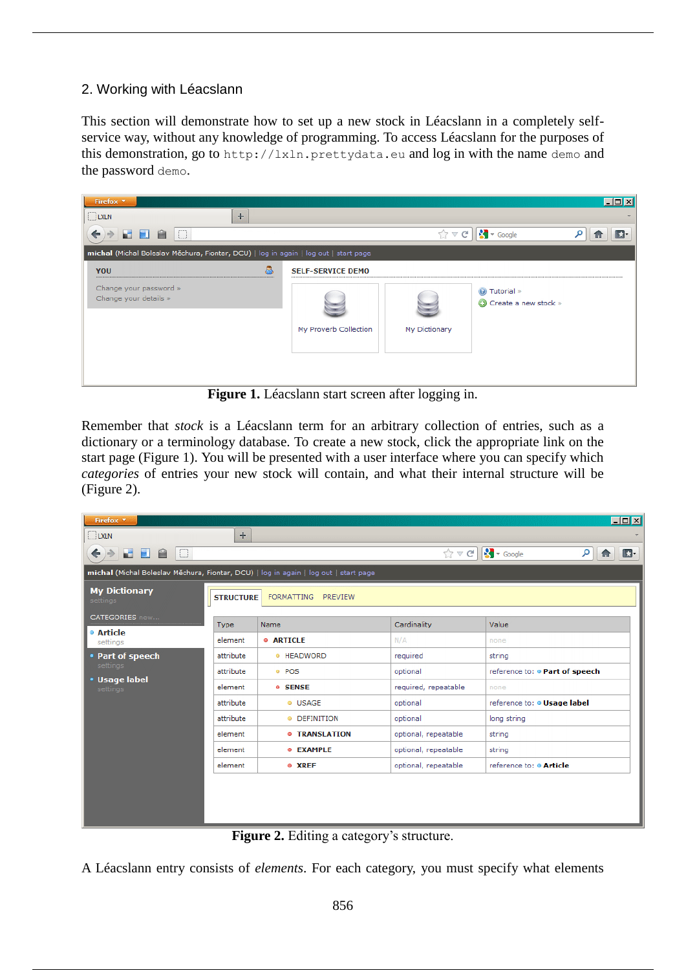# 2. Working with Léacslann

This section will demonstrate how to set up a new stock in Léacslann in a completely selfservice way, without any knowledge of programming. To access Léacslann for the purposes of this demonstration, go to http://lxln.prettydata.eu and log in with the name demo and the password demo.



**Figure 1.** Léacslann start screen after logging in.

Remember that *stock* is a Léacslann term for an arbitrary collection of entries, such as a dictionary or a terminology database. To create a new stock, click the appropriate link on the start page (Figure 1). You will be presented with a user interface where you can specify which *categories* of entries your new stock will contain, and what their internal structure will be (Figure 2).

| Firefox <b>v</b>                                                                     |             |                         |                      | $\Box$ D $\Box$                                               |
|--------------------------------------------------------------------------------------|-------------|-------------------------|----------------------|---------------------------------------------------------------|
| $\Box$ LXLN                                                                          | $+$         |                         |                      |                                                               |
| $\Box$<br>HA<br>ađ.<br>←<br>⇛                                                        |             |                         | $\hat{X} \times G$   | $\frac{1}{2}$ + Google<br>م<br>$\mathbb{E}$<br>$\blacksquare$ |
| michal (Michal Boleslav Měchura, Fiontar, DCU)   log in again   log out   start page |             |                         |                      |                                                               |
| <b>My Dictionary</b><br><b>FORMATTING</b><br>PREVIEW<br><b>STRUCTURE</b><br>settings |             |                         |                      |                                                               |
| <b>CATEGORIES</b> new                                                                | <b>Type</b> | Name                    | Cardinality          | Value                                                         |
| ◎ Article<br>settings                                                                | element     | <b>O ARTICLE</b>        | N/A                  | none                                                          |
| • Part of speech<br>settings<br>· Usage label<br>settings                            | attribute   | ◎ HEADWORD              | required             | string                                                        |
|                                                                                      | attribute   | <sup>®</sup> POS        | optional             | reference to: . Part of speech                                |
|                                                                                      | element     | <b>O</b> SENSE          | required, repeatable | none                                                          |
|                                                                                      | attribute   | <sup>®</sup> USAGE      | optional             | reference to: @ Usage label                                   |
|                                                                                      | attribute   | <sup>o</sup> DEFINITION | optional             | long string                                                   |
|                                                                                      | element     | <b>© TRANSLATION</b>    | optional, repeatable | string                                                        |
|                                                                                      | element     | <sup>®</sup> EXAMPLE    | optional, repeatable | string                                                        |
|                                                                                      | element     | ◎ XREF                  | optional, repeatable | reference to: @ Article                                       |
|                                                                                      |             |                         |                      |                                                               |

Figure 2. Editing a category's structure.

A Léacslann entry consists of *elements*. For each category, you must specify what elements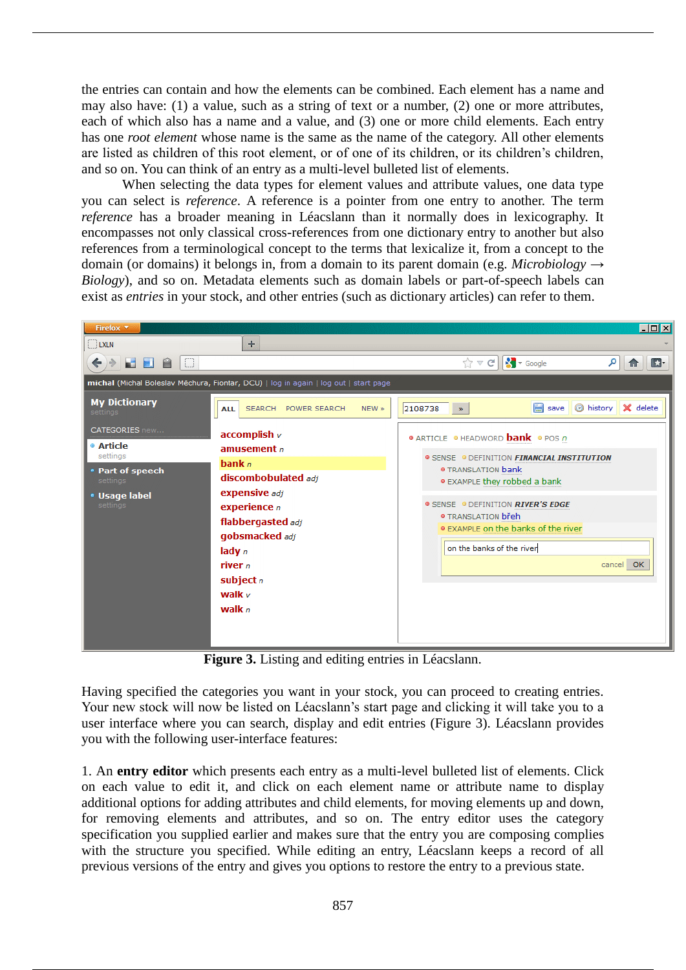the entries can contain and how the elements can be combined. Each element has a name and may also have: (1) a value, such as a string of text or a number, (2) one or more attributes, each of which also has a name and a value, and (3) one or more child elements. Each entry has one *root element* whose name is the same as the name of the category. All other elements are listed as children of this root element, or of one of its children, or its children's children, and so on. You can think of an entry as a multi-level bulleted list of elements.

When selecting the data types for element values and attribute values, one data type you can select is *reference*. A reference is a pointer from one entry to another. The term *reference* has a broader meaning in Léacslann than it normally does in lexicography. It encompasses not only classical cross-references from one dictionary entry to another but also references from a terminological concept to the terms that lexicalize it, from a concept to the domain (or domains) it belongs in, from a domain to its parent domain (e.g. *Microbiology*  $\rightarrow$ *Biology*), and so on. Metadata elements such as domain labels or part-of-speech labels can exist as *entries* in your stock, and other entries (such as dictionary articles) can refer to them.



**Figure 3.** Listing and editing entries in Léacslann.

Having specified the categories you want in your stock, you can proceed to creating entries. Your new stock will now be listed on Léacslann's start page and clicking it will take you to a user interface where you can search, display and edit entries (Figure 3). Léacslann provides you with the following user-interface features:

1. An **entry editor** which presents each entry as a multi-level bulleted list of elements. Click on each value to edit it, and click on each element name or attribute name to display additional options for adding attributes and child elements, for moving elements up and down, for removing elements and attributes, and so on. The entry editor uses the category specification you supplied earlier and makes sure that the entry you are composing complies with the structure you specified. While editing an entry, Léacslann keeps a record of all previous versions of the entry and gives you options to restore the entry to a previous state.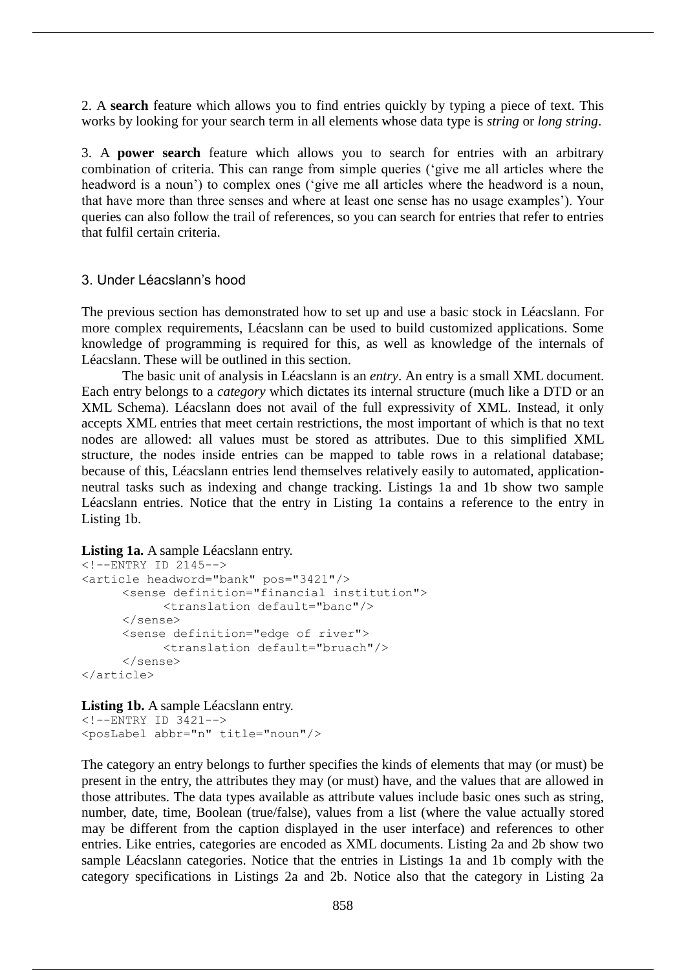2. A **search** feature which allows you to find entries quickly by typing a piece of text. This works by looking for your search term in all elements whose data type is *string* or *long string*.

3. A **power search** feature which allows you to search for entries with an arbitrary combination of criteria. This can range from simple queries ('give me all articles where the headword is a noun') to complex ones ('give me all articles where the headword is a noun, that have more than three senses and where at least one sense has no usage examples'). Your queries can also follow the trail of references, so you can search for entries that refer to entries that fulfil certain criteria.

## 3. Under Léacslann's hood

The previous section has demonstrated how to set up and use a basic stock in Léacslann. For more complex requirements, Léacslann can be used to build customized applications. Some knowledge of programming is required for this, as well as knowledge of the internals of Léacslann. These will be outlined in this section.

The basic unit of analysis in Léacslann is an *entry*. An entry is a small XML document. Each entry belongs to a *category* which dictates its internal structure (much like a DTD or an XML Schema). Léacslann does not avail of the full expressivity of XML. Instead, it only accepts XML entries that meet certain restrictions, the most important of which is that no text nodes are allowed: all values must be stored as attributes. Due to this simplified XML structure, the nodes inside entries can be mapped to table rows in a relational database; because of this, Léacslann entries lend themselves relatively easily to automated, applicationneutral tasks such as indexing and change tracking. Listings 1a and 1b show two sample Léacslann entries. Notice that the entry in Listing 1a contains a reference to the entry in Listing 1b.

#### Listing 1a. A sample Léacslann entry.

```
\langle!--ENTRY ID 2145-->
<article headword="bank" pos="3421"/>
     <sense definition="financial institution">
           <translation default="banc"/>
     </sense>
     <sense definition="edge of river">
           <translation default="bruach"/>
     </sense>
</article>
```
#### Listing 1b. A sample Léacslann entry.

```
<!--ENTRY ID 3421-->
<posLabel abbr="n" title="noun"/>
```
The category an entry belongs to further specifies the kinds of elements that may (or must) be present in the entry, the attributes they may (or must) have, and the values that are allowed in those attributes. The data types available as attribute values include basic ones such as string, number, date, time, Boolean (true/false), values from a list (where the value actually stored may be different from the caption displayed in the user interface) and references to other entries. Like entries, categories are encoded as XML documents. Listing 2a and 2b show two sample Léacslann categories. Notice that the entries in Listings 1a and 1b comply with the category specifications in Listings 2a and 2b. Notice also that the category in Listing 2a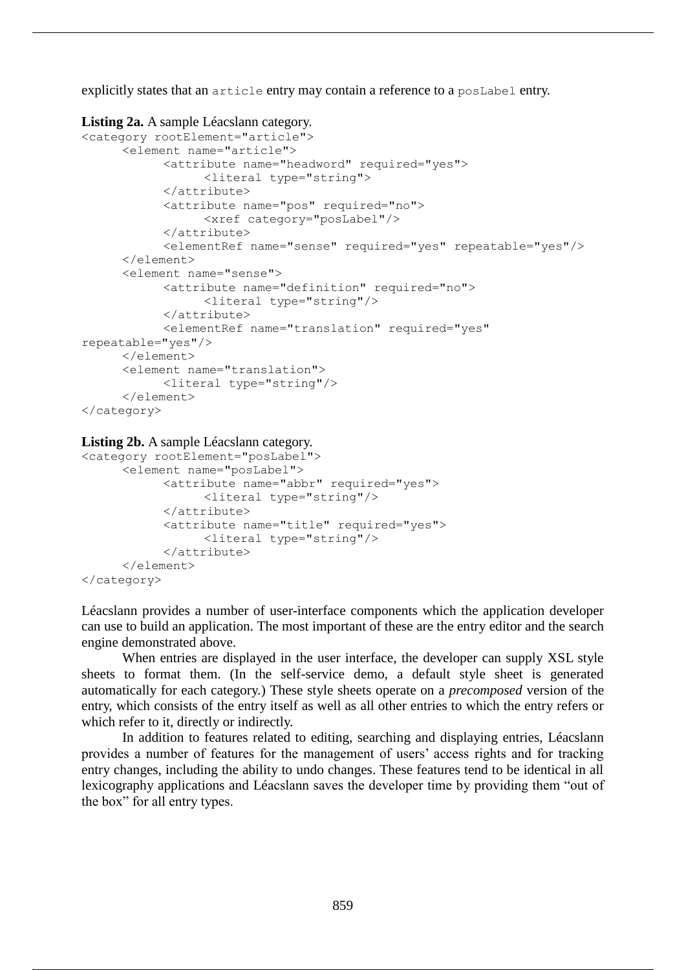explicitly states that an article entry may contain a reference to a poslabel entry.

#### **Listing 2a.** A sample Léacslann category.

```
<category rootElement="article">
     <element name="article">
           <attribute name="headword" required="yes">
                 <literal type="string">
           </attribute>
           <attribute name="pos" required="no">
                 <xref category="posLabel"/>
           </attribute>
           <elementRef name="sense" required="yes" repeatable="yes"/>
     </element>
     <element name="sense">
           <attribute name="definition" required="no">
                 <literal type="string"/>
           </attribute>
           <elementRef name="translation" required="yes" 
repeatable="yes"/>
     </element>
     <element name="translation">
           <literal type="string"/>
     </element>
</category>
```
#### **Listing 2b.** A sample Léacslann category.

```
<category rootElement="posLabel">
     <element name="posLabel">
           <attribute name="abbr" required="yes">
                 <literal type="string"/>
           </attribute>
           <attribute name="title" required="yes">
                 <literal type="string"/>
           </attribute>
     </element>
</category>
```
Léacslann provides a number of user-interface components which the application developer can use to build an application. The most important of these are the entry editor and the search engine demonstrated above.

When entries are displayed in the user interface, the developer can supply XSL style sheets to format them. (In the self-service demo, a default style sheet is generated automatically for each category.) These style sheets operate on a *precomposed* version of the entry, which consists of the entry itself as well as all other entries to which the entry refers or which refer to it, directly or indirectly.

In addition to features related to editing, searching and displaying entries, Léacslann provides a number of features for the management of users' access rights and for tracking entry changes, including the ability to undo changes. These features tend to be identical in all lexicography applications and Léacslann saves the developer time by providing them "out of the box" for all entry types.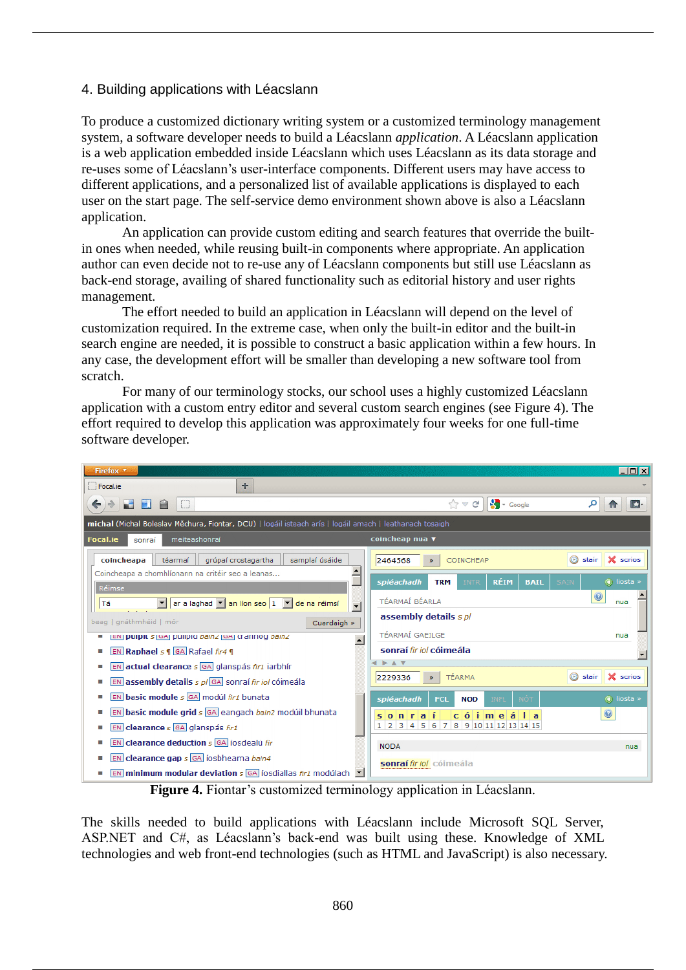# 4. Building applications with Léacslann

To produce a customized dictionary writing system or a customized terminology management system, a software developer needs to build a Léacslann *application*. A Léacslann application is a web application embedded inside Léacslann which uses Léacslann as its data storage and re-uses some of Léacslann's user-interface components. Different users may have access to different applications, and a personalized list of available applications is displayed to each user on the start page. The self-service demo environment shown above is also a Léacslann application.

An application can provide custom editing and search features that override the builtin ones when needed, while reusing built-in components where appropriate. An application author can even decide not to re-use any of Léacslann components but still use Léacslann as back-end storage, availing of shared functionality such as editorial history and user rights management.

The effort needed to build an application in Léacslann will depend on the level of customization required. In the extreme case, when only the built-in editor and the built-in search engine are needed, it is possible to construct a basic application within a few hours. In any case, the development effort will be smaller than developing a new software tool from scratch.

For many of our terminology stocks, our school uses a highly customized Léacslann application with a custom entry editor and several custom search engines (see Figure 4). The effort required to develop this application was approximately four weeks for one full-time software developer.



**Figure 4.** Fiontar's customized terminology application in Léacslann.

The skills needed to build applications with Léacslann include Microsoft SQL Server, ASP.NET and C#, as Léacslann's back-end was built using these. Knowledge of XML technologies and web front-end technologies (such as HTML and JavaScript) is also necessary.